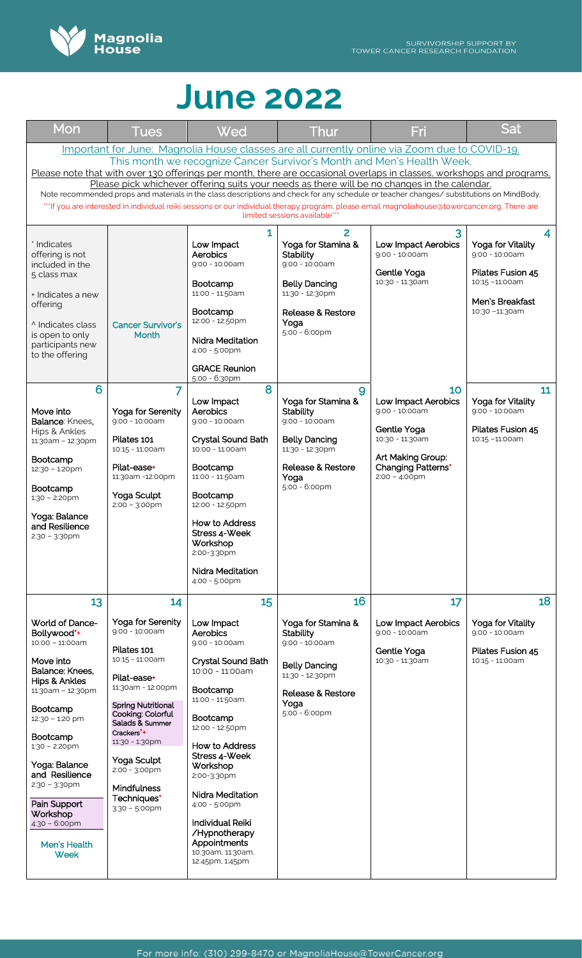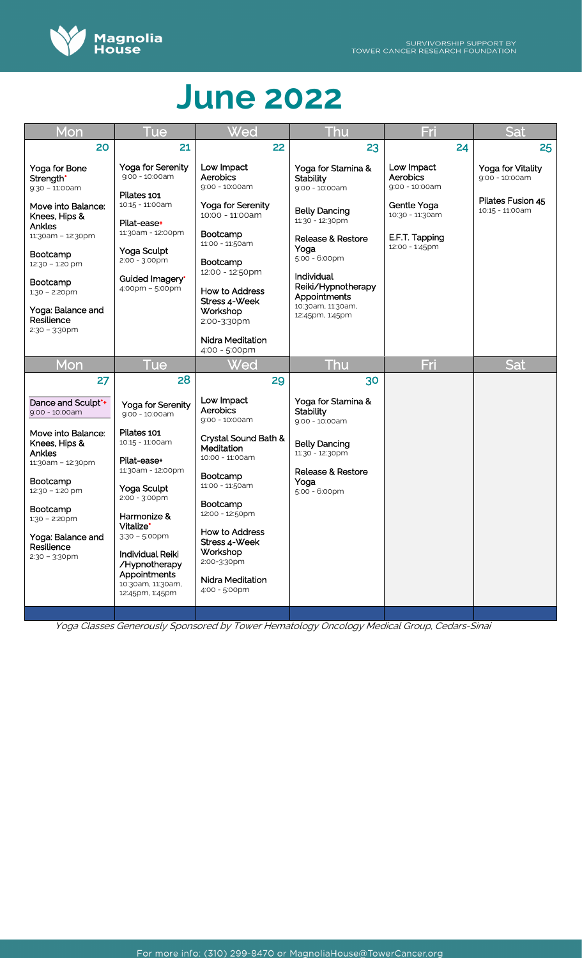

| Mon                                                                                                                                                                                                                                                | Tue                                                                                                                                                                                                                                                                                    | Wed                                                                                                                                                                                                                                                                       | Thu                                                                                                                                                                                                                                                      | Fri                                                                                                            | Sat                                                                           |
|----------------------------------------------------------------------------------------------------------------------------------------------------------------------------------------------------------------------------------------------------|----------------------------------------------------------------------------------------------------------------------------------------------------------------------------------------------------------------------------------------------------------------------------------------|---------------------------------------------------------------------------------------------------------------------------------------------------------------------------------------------------------------------------------------------------------------------------|----------------------------------------------------------------------------------------------------------------------------------------------------------------------------------------------------------------------------------------------------------|----------------------------------------------------------------------------------------------------------------|-------------------------------------------------------------------------------|
| 20                                                                                                                                                                                                                                                 | 21                                                                                                                                                                                                                                                                                     | 22                                                                                                                                                                                                                                                                        | 23                                                                                                                                                                                                                                                       | 24                                                                                                             | 25                                                                            |
| Yoga for Bone<br>Strength*<br>$9:30 - 11:00$ am<br>Move into Balance:<br>Knees, Hips &<br>Ankles<br>11:30am - 12:30pm<br><b>Bootcamp</b><br>12:30 - 1:20 pm<br>Bootcamp<br>$1:30 - 2:20$ pm<br>Yoga: Balance and<br>Resilience<br>$2:30 - 3:30$ pm | Yoga for Serenity<br>$9:00 - 10:00$ am<br>Pilates 101<br>10:15 - 11:00am<br>Pilat-ease+<br>11:30am - 12:00pm<br>Yoga Sculpt<br>$2:00 - 3:00 \text{pm}$<br>Guided Imagery*<br>4:00pm - 5:00pm                                                                                           | Low Impact<br>Aerobics<br>9:00 - 10:00am<br>Yoga for Serenity<br>10:00 - 11:00am<br>Bootcamp<br>11:00 - 11:50am<br><b>Bootcamp</b><br>12:00 - 12:50pm<br>How to Address<br>Stress 4-Week<br>Workshop<br>2:00-3:30pm<br><b>Nidra Meditation</b><br>4:00 - 5:00pm           | Yoga for Stamina &<br><b>Stability</b><br>9:00 - 10:00am<br><b>Belly Dancing</b><br>11:30 - 12:30pm<br><b>Release &amp; Restore</b><br>Yoga<br>5:00 - 6:00pm<br>Individual<br>Reiki/Hypnotherapy<br>Appointments<br>10:30am, 11:30am,<br>12:45pm, 1:45pm | Low Impact<br>Aerobics<br>9:00 - 10:00am<br>Gentle Yoga<br>10:30 - 11:30am<br>E.F.T. Tapping<br>12:00 - 1:45pm | Yoga for Vitality<br>$9:00 - 10:00am$<br>Pilates Fusion 45<br>10:15 - 11:00am |
| Mon                                                                                                                                                                                                                                                | Tue                                                                                                                                                                                                                                                                                    | <u>Wed</u>                                                                                                                                                                                                                                                                | Thu                                                                                                                                                                                                                                                      | Fri                                                                                                            | <b>Sat</b>                                                                    |
| 27                                                                                                                                                                                                                                                 | 28                                                                                                                                                                                                                                                                                     | 29                                                                                                                                                                                                                                                                        | 30                                                                                                                                                                                                                                                       |                                                                                                                |                                                                               |
| Dance and Sculpt*+<br>9:00 - 10:00am<br>Move into Balance:<br>Knees, Hips &<br>Ankles<br>11:30am - 12:30pm<br>Bootcamp<br>12:30 - 1:20 pm<br>Bootcamp<br>$1:30 - 2:20$ pm<br>Yoga: Balance and<br>Resilience<br>$2:30 - 3:30$ pm                   | Yoga for Serenity<br>9:00 - 10:00am<br>Pilates 101<br>10:15 - 11:00am<br>Pilat-ease+<br>11:30am - 12:00pm<br>Yoga Sculpt<br>2:00 - 3:00pm<br>Harmonize &<br>Vitalize*<br>$3:30 - 5:00$ pm<br>Individual Reiki<br>/Hypnotherapy<br>Appointments<br>10:30am, 11:30am,<br>12:45pm, 1:45pm | Low Impact<br>Aerobics<br>9:00 - 10:00am<br>Crystal Sound Bath &<br>Meditation<br>10:00 - 11:00am<br>Bootcamp<br>11:00 - 11:50am<br><b>Bootcamp</b><br>12:00 - 12:50pm<br>How to Address<br>Stress 4-Week<br>Workshop<br>2:00-3:30pm<br>Nidra Meditation<br>4:00 - 5:00pm | Yoga for Stamina &<br><b>Stability</b><br>9:00 - 10:00am<br><b>Belly Dancing</b><br>11:30 - 12:30pm<br>Release & Restore<br>Yoga<br>5:00 - 6:00pm                                                                                                        |                                                                                                                |                                                                               |

Yoga Classes Generously Sponsored by Tower Hematology Oncology Medical Group, Cedars-Sinai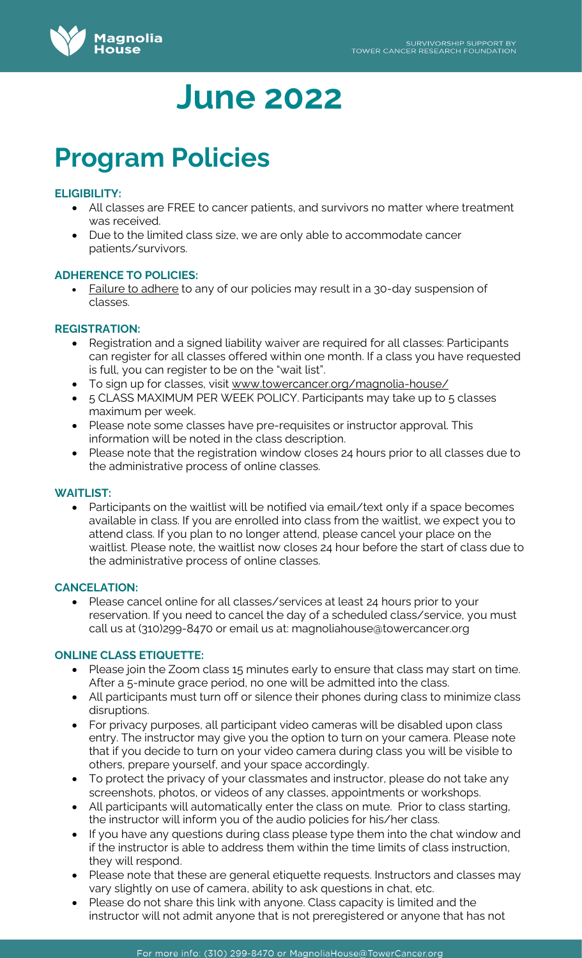

# **Program Policies**

# **ELIGIBILITY:**

- All classes are FREE to cancer patients, and survivors no matter where treatment was received.
- Due to the limited class size, we are only able to accommodate cancer patients/survivors.

# **ADHERENCE TO POLICIES:**

• Failure to adhere to any of our policies may result in a 30-day suspension of classes.

# **REGISTRATION:**

- Registration and a signed liability waiver are required for all classes: Participants can register for all classes offered within one month. If a class you have requested is full, you can register to be on the "wait list".
- To sign up for classes, visit [www.towercancer.org/magnolia-house/](http://www.towercancer.org/magnolia-house/)
- 5 CLASS MAXIMUM PER WEEK POLICY. Participants may take up to 5 classes maximum per week.
- Please note some classes have pre-requisites or instructor approval. This information will be noted in the class description.
- Please note that the registration window closes 24 hours prior to all classes due to the administrative process of online classes.

# **WAITLIST:**

• Participants on the waitlist will be notified via email/text only if a space becomes available in class. If you are enrolled into class from the waitlist, we expect you to attend class. If you plan to no longer attend, please cancel your place on the waitlist. Please note, the waitlist now closes 24 hour before the start of class due to the administrative process of online classes.

# **CANCELATION:**

• Please cancel online for all classes/services at least 24 hours prior to your reservation. If you need to cancel the day of a scheduled class/service, you must call us at (310)299-8470 or email us at: magnoliahouse@towercancer.org

# **ONLINE CLASS ETIQUETTE:**

- Please join the Zoom class 15 minutes early to ensure that class may start on time. After a 5-minute grace period, no one will be admitted into the class.
- All participants must turn off or silence their phones during class to minimize class disruptions.
- For privacy purposes, all participant video cameras will be disabled upon class entry. The instructor may give you the option to turn on your camera. Please note that if you decide to turn on your video camera during class you will be visible to others, prepare yourself, and your space accordingly.
- To protect the privacy of your classmates and instructor, please do not take any screenshots, photos, or videos of any classes, appointments or workshops.
- All participants will automatically enter the class on mute. Prior to class starting, the instructor will inform you of the audio policies for his/her class.
- If you have any questions during class please type them into the chat window and if the instructor is able to address them within the time limits of class instruction, they will respond.
- Please note that these are general etiquette requests. Instructors and classes may vary slightly on use of camera, ability to ask questions in chat, etc.
- Please do not share this link with anyone. Class capacity is limited and the instructor will not admit anyone that is not preregistered or anyone that has not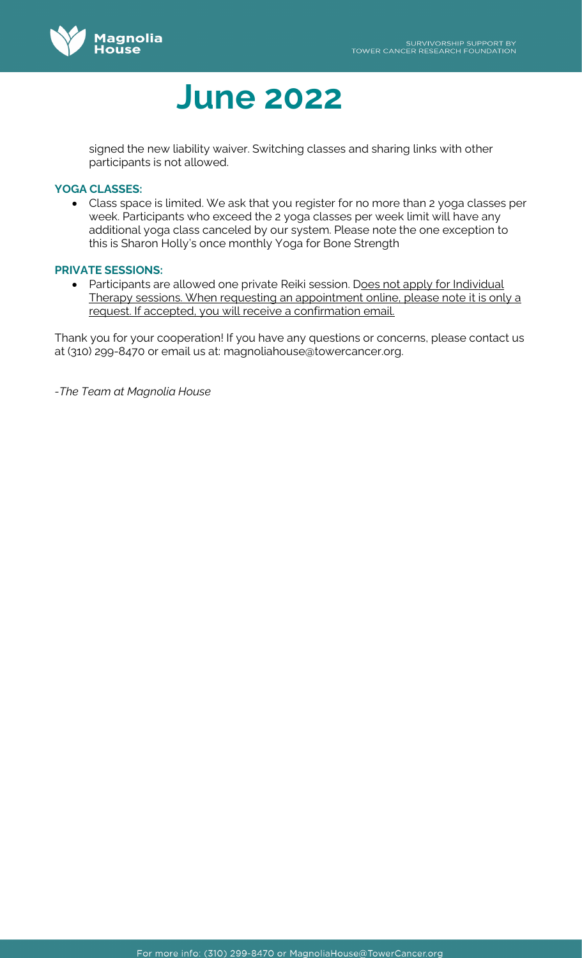

signed the new liability waiver. Switching classes and sharing links with other participants is not allowed.

# **YOGA CLASSES:**

• Class space is limited. We ask that you register for no more than 2 yoga classes per week. Participants who exceed the 2 yoga classes per week limit will have any additional yoga class canceled by our system. Please note the one exception to this is Sharon Holly's once monthly Yoga for Bone Strength

#### **PRIVATE SESSIONS:**

• Participants are allowed one private Reiki session. Does not apply for Individual Therapy sessions. When requesting an appointment online, please note it is only a request. If accepted, you will receive a confirmation email.

Thank you for your cooperation! If you have any questions or concerns, please contact us at (310) 299-8470 or email us at: magnoliahouse@towercancer.org.

*-The Team at Magnolia House*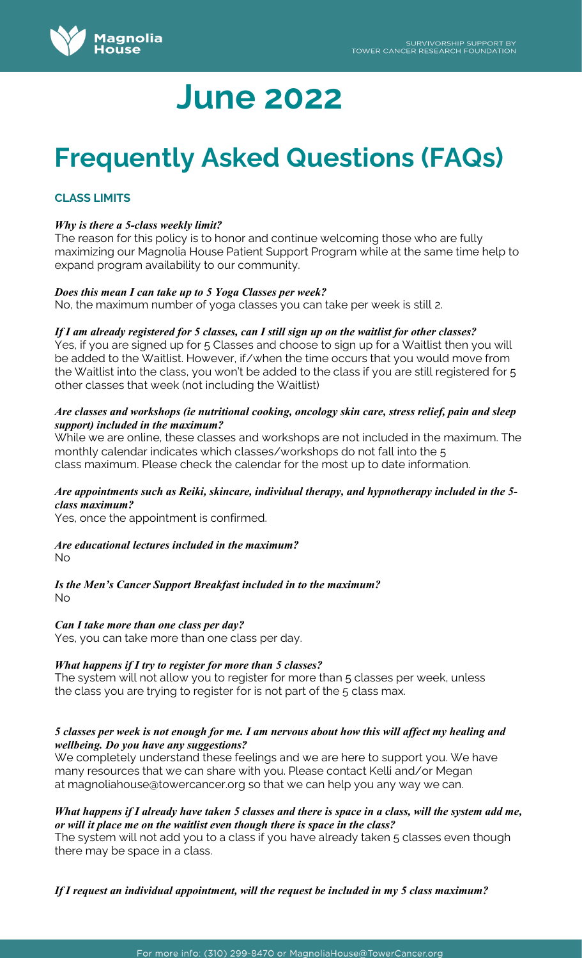

# **Frequently Asked Questions (FAQs)**

# **CLASS LIMITS**

#### *Why is there a 5-class weekly limit?*

The reason for this policy is to honor and continue welcoming those who are fully maximizing our Magnolia House Patient Support Program while at the same time help to expand program availability to our community.

#### *Does this mean I can take up to 5 Yoga Classes per week?*

No, the maximum number of yoga classes you can take per week is still 2.

#### *If I am already registered for 5 classes, can I still sign up on the waitlist for other classes?*

Yes, if you are signed up for 5 Classes and choose to sign up for a Waitlist then you will be added to the Waitlist. However, if/when the time occurs that you would move from the Waitlist into the class, you won't be added to the class if you are still registered for 5 other classes that week (not including the Waitlist)

#### *Are classes and workshops (ie nutritional cooking, oncology skin care, stress relief, pain and sleep support) included in the maximum?*

While we are online, these classes and workshops are not included in the maximum. The monthly calendar indicates which classes/workshops do not fall into the 5 class maximum. Please check the calendar for the most up to date information.

#### *Are appointments such as Reiki, skincare, individual therapy, and hypnotherapy included in the 5 class maximum?*

Yes, once the appointment is confirmed.

#### *Are educational lectures included in the maximum?*  No

*Is the Men's Cancer Support Breakfast included in to the maximum?* No

# *Can I take more than one class per day?*

Yes, you can take more than one class per day.

# *What happens if I try to register for more than 5 classes?*

The system will not allow you to register for more than 5 classes per week, unless the class you are trying to register for is not part of the 5 class max.

#### *5 classes per week is not enough for me. I am nervous about how this will affect my healing and wellbeing. Do you have any suggestions?*

We completely understand these feelings and we are here to support you. We have many resources that we can share with you. Please contact Kelli and/or Megan at [magnoliahouse@towercancer.org](mailto:magnoliahouse@towercancer.org) so that we can help you any way we can.

#### *What happens if I already have taken 5 classes and there is space in a class, will the system add me, or will it place me on the waitlist even though there is space in the class?*

The system will not add you to a class if you have already taken 5 classes even though there may be space in a class.

*If I request an individual appointment, will the request be included in my 5 class maximum?*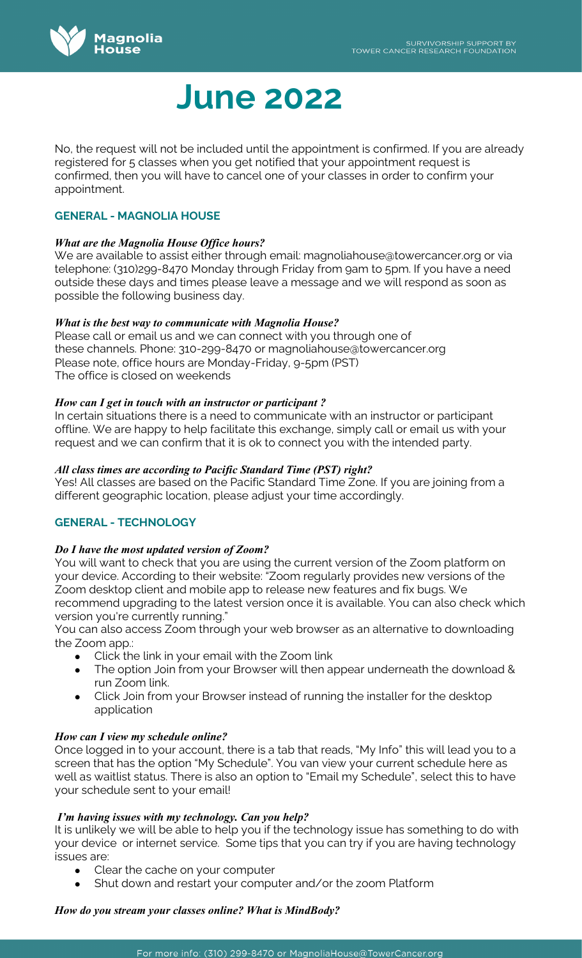

No, the request will not be included until the appointment is confirmed. If you are already registered for 5 classes when you get notified that your appointment request is confirmed, then you will have to cancel one of your classes in order to confirm your appointment.

# **GENERAL - MAGNOLIA HOUSE**

# *What are the Magnolia House Office hours?*

We are available to assist either through email: [magnoliahouse@towercancer.org](mailto:magnoliahouse@towercancer.org) or via telephone: (310)299-8470 Monday through Friday from 9am to 5pm. If you have a need outside these days and times please leave a message and we will respond as soon as possible the following business day.

# *What is the best way to communicate with Magnolia House?*

Please call or email us and we can connect with you through one of these channels. Phone: 310-299-8470 or [magnoliahouse@towercancer.org](mailto:magnoliahouse@towercancer.org)  Please note, office hours are Monday-Friday, 9-5pm (PST) The office is closed on weekends

# *How can I get in touch with an instructor or participant ?*

In certain situations there is a need to communicate with an instructor or participant offline. We are happy to help facilitate this exchange, simply call or email us with your request and we can confirm that it is ok to connect you with the intended party.

# *All class times are according to Pacific Standard Time (PST) right?*

Yes! All classes are based on the Pacific Standard Time Zone. If you are joining from a different geographic location, please adjust your time accordingly.

# **GENERAL - TECHNOLOGY**

# *Do I have the most updated version of Zoom?*

You will want to check that you are using the current version of the Zoom platform on your device. According to their website: "Zoom [regularly provides new versions](https://support.zoom.us/hc/en-us/articles/360042414611) of the Zoom desktop client and mobile app to release new features and fix bugs. We recommend upgrading to the latest version once it is available. You can also [check which](https://support.zoom.us/hc/en-us/articles/201362393)  [version you're currently running."](https://support.zoom.us/hc/en-us/articles/201362393)

You can also access Zoom through your web browser as an alternative to downloading the Zoom app.:

- Click the link in your email with the Zoom link
- The option Join from your Browser will then appear underneath the download & run Zoom link.
- Click Join from your Browser instead of running the installer for the desktop application

# *How can I view my schedule online?*

Once logged in to your account, there is a tab that reads, "My Info" this will lead you to a screen that has the option "My Schedule". You van view your current schedule here as well as waitlist status. There is also an option to "Email my Schedule", select this to have your schedule sent to your email!

# *I'm having issues with my technology. Can you help?*

It is unlikely we will be able to help you if the technology issue has something to do with your device or internet service. Some tips that you can try if you are having technology issues are:

- Clear the cache on your computer
- Shut down and restart your computer and/or the zoom Platform

# *How do you stream your classes online? What is MindBody?*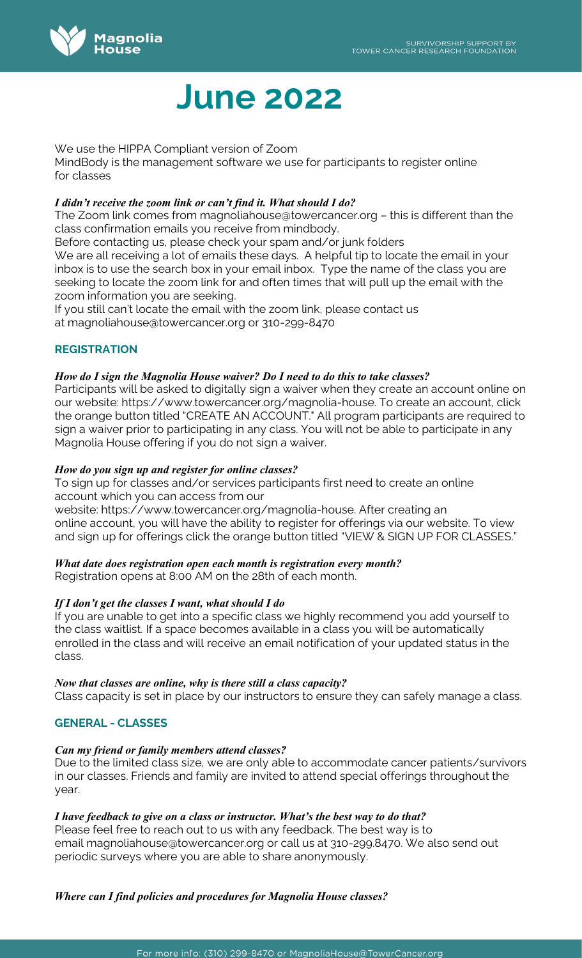

We use the HIPPA Compliant version of Zoom

MindBody is the management software we use for participants to register online for classes

# *I didn't receive the zoom link or can't find it. What should I do?*

The Zoom link comes from [magnoliahouse@towercancer.org](mailto:magnoliahouse@towercancer.org) – this is different than the class confirmation emails you receive from mindbody.

Before contacting us, please check your spam and/or junk folders We are all receiving a lot of emails these days. A helpful tip to locate the email in your inbox is to use the search box in your email inbox. Type the name of the class you are seeking to locate the zoom link for and often times that will pull up the email with the zoom information you are seeking.

If you still can't locate the email with the zoom link, please contact us at [magnoliahouse@towercancer.org](mailto:magnoliahouse@towercancer.org) or 310-299-8470

# **REGISTRATION**

# *How do I sign the Magnolia House waiver? Do I need to do this to take classes?*

Participants will be asked to digitally sign a waiver when they create an account online on our website: [https://www.towercancer.org/magnolia-house.](https://www.towercancer.org/magnolia-house) To create an account, click the orange button titled "CREATE AN ACCOUNT." All program participants are required to sign a waiver prior to participating in any class. You will not be able to participate in any Magnolia House offering if you do not sign a waiver.

# *How do you sign up and register for online classes?*

To sign up for classes and/or services participants first need to create an online account which you can access from our

website: [https://www.towercancer.org/magnolia-house.](https://www.towercancer.org/magnolia-house) After creating an online account, you will have the ability to register for offerings via our website. To view and sign up for offerings click the orange button titled "VIEW & SIGN UP FOR CLASSES."

# *What date does registration open each month is registration every month?*

Registration opens at 8:00 AM on the 28th of each month.

# *If I don't get the classes I want, what should I do*

If you are unable to get into a specific class we highly recommend you add yourself to the class waitlist. If a space becomes available in a class you will be automatically enrolled in the class and will receive an email notification of your updated status in the class.

# *Now that classes are online, why is there still a class capacity?*

Class capacity is set in place by our instructors to ensure they can safely manage a class.

# **GENERAL - CLASSES**

# *Can my friend or family members attend classes?*

Due to the limited class size, we are only able to accommodate cancer patients/survivors in our classes. Friends and family are invited to attend special offerings throughout the year.

# *I have feedback to give on a class or instructor. What's the best way to do that?*

Please feel free to reach out to us with any feedback. The best way is to email [magnoliahouse@towercancer.org](mailto:magnoliahouse@towercancer.org) or call us at 310-299.8470. We also send out periodic surveys where you are able to share anonymously.

# *Where can I find policies and procedures for Magnolia House classes?*